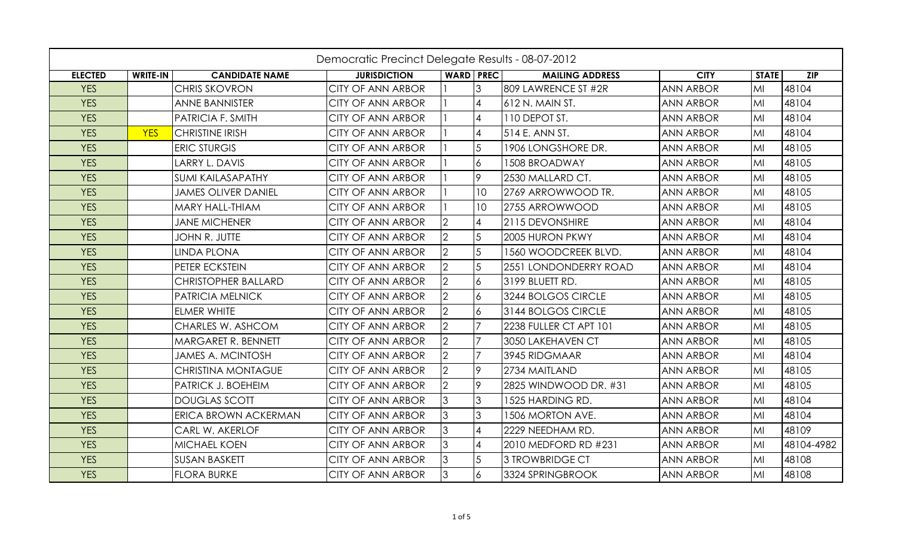|                | Democratic Precinct Delegate Results - 08-07-2012 |                            |                          |                  |                |                         |                  |              |            |  |
|----------------|---------------------------------------------------|----------------------------|--------------------------|------------------|----------------|-------------------------|------------------|--------------|------------|--|
| <b>ELECTED</b> | <b>WRITE-IN</b>                                   | <b>CANDIDATE NAME</b>      | <b>JURISDICTION</b>      | <b>WARD PREC</b> |                | <b>MAILING ADDRESS</b>  | <b>CITY</b>      | <b>STATE</b> | <b>ZIP</b> |  |
| <b>YES</b>     |                                                   | <b>CHRIS SKOVRON</b>       | CITY OF ANN ARBOR        |                  | 3              | 809 LAWRENCE ST #2R     | <b>ANN ARBOR</b> | MI           | 48104      |  |
| <b>YES</b>     |                                                   | <b>ANNE BANNISTER</b>      | <b>CITY OF ANN ARBOR</b> |                  | $\overline{4}$ | 612 N. MAIN ST.         | <b>ANN ARBOR</b> | MI           | 48104      |  |
| <b>YES</b>     |                                                   | PATRICIA F. SMITH          | CITY OF ANN ARBOR        |                  | <b>4</b>       | 110 DEPOT ST.           | <b>ANN ARBOR</b> | MI           | 48104      |  |
| <b>YES</b>     | <b>YES</b>                                        | <b>CHRISTINE IRISH</b>     | CITY OF ANN ARBOR        |                  | $\overline{4}$ | 514 E. ANN ST.          | <b>ANN ARBOR</b> | MI           | 48104      |  |
| <b>YES</b>     |                                                   | <b>ERIC STURGIS</b>        | <b>CITY OF ANN ARBOR</b> |                  | 5              | 1906 LONGSHORE DR.      | <b>ANN ARBOR</b> | MI           | 48105      |  |
| <b>YES</b>     |                                                   | LARRY L. DAVIS             | <b>CITY OF ANN ARBOR</b> |                  | 6              | 1508 BROADWAY           | <b>ANN ARBOR</b> | MI           | 48105      |  |
| <b>YES</b>     |                                                   | <b>SUMI KAILASAPATHY</b>   | <b>CITY OF ANN ARBOR</b> |                  | 19.            | 2530 MALLARD CT.        | <b>ANN ARBOR</b> | MI           | 48105      |  |
| <b>YES</b>     |                                                   | <b>JAMES OLIVER DANIEL</b> | <b>CITY OF ANN ARBOR</b> |                  | 10             | 2769 ARROWWOOD TR.      | <b>ANN ARBOR</b> | MI           | 48105      |  |
| <b>YES</b>     |                                                   | MARY HALL-THIAM            | <b>CITY OF ANN ARBOR</b> |                  | 10             | 2755 ARROWWOOD          | <b>ANN ARBOR</b> | MI           | 48105      |  |
| <b>YES</b>     |                                                   | <b>JANE MICHENER</b>       | <b>CITY OF ANN ARBOR</b> |                  |                | 2115 DEVONSHIRE         | <b>ANN ARBOR</b> | MI           | 48104      |  |
| <b>YES</b>     |                                                   | JOHN R. JUTTE              | CITY OF ANN ARBOR        | $\overline{2}$   | 5              | 2005 HURON PKWY         | <b>ANN ARBOR</b> | MI           | 48104      |  |
| <b>YES</b>     |                                                   | <b>LINDA PLONA</b>         | CITY OF ANN ARBOR        |                  | 5              | 1560 WOODCREEK BLVD.    | <b>ANN ARBOR</b> | MI           | 48104      |  |
| <b>YES</b>     |                                                   | PETER ECKSTEIN             | CITY OF ANN ARBOR        | $\mathcal{P}$    | $\overline{5}$ | 2551 LONDONDERRY ROAD   | <b>ANN ARBOR</b> | MI           | 48104      |  |
| <b>YES</b>     |                                                   | CHRISTOPHER BALLARD        | <b>CITY OF ANN ARBOR</b> | $\overline{2}$   | $\overline{6}$ | 3199 BLUETT RD.         | <b>ANN ARBOR</b> | MI           | 48105      |  |
| <b>YES</b>     |                                                   | PATRICIA MELNICK           | <b>CITY OF ANN ARBOR</b> | $\overline{2}$   | $\overline{6}$ | 3244 BOLGOS CIRCLE      | <b>ANN ARBOR</b> | MI           | 48105      |  |
| <b>YES</b>     |                                                   | ELMER WHITE                | <b>CITY OF ANN ARBOR</b> | $\overline{2}$   | $\overline{6}$ | 3144 BOLGOS CIRCLE      | <b>ANN ARBOR</b> | MI           | 48105      |  |
| <b>YES</b>     |                                                   | CHARLES W. ASHCOM          | <b>CITY OF ANN ARBOR</b> | $\overline{2}$   | 17             | 2238 FULLER CT APT 101  | <b>ANN ARBOR</b> | MI           | 48105      |  |
| <b>YES</b>     |                                                   | MARGARET R. BENNETT        | <b>CITY OF ANN ARBOR</b> | $\overline{2}$   | $\overline{7}$ | 3050 LAKEHAVEN CT       | <b>ANN ARBOR</b> | MI           | 48105      |  |
| <b>YES</b>     |                                                   | <b>JAMES A. MCINTOSH</b>   | CITY OF ANN ARBOR        | $\overline{2}$   | $\overline{7}$ | 3945 RIDGMAAR           | <b>ANN ARBOR</b> | MI           | 48104      |  |
| <b>YES</b>     |                                                   | CHRISTINA MONTAGUE         | <b>CITY OF ANN ARBOR</b> | $\overline{2}$   | 19             | 2734 MAITLAND           | <b>ANN ARBOR</b> | MI           | 48105      |  |
| <b>YES</b>     |                                                   | PATRICK J. BOEHEIM         | CITY OF ANN ARBOR        |                  | 9              | 2825 WINDWOOD DR. #31   | <b>ANN ARBOR</b> | MI           | 48105      |  |
| <b>YES</b>     |                                                   | <b>DOUGLAS SCOTT</b>       | <b>CITY OF ANN ARBOR</b> | 3                | $\overline{3}$ | 1525 HARDING RD.        | <b>ANN ARBOR</b> | MI           | 48104      |  |
| <b>YES</b>     |                                                   | ERICA BROWN ACKERMAN       | <b>CITY OF ANN ARBOR</b> | 3                | $\overline{3}$ | <b>1506 MORTON AVE.</b> | <b>ANN ARBOR</b> | MI           | 48104      |  |
| <b>YES</b>     |                                                   | CARL W. AKERLOF            | <b>CITY OF ANN ARBOR</b> | 3                | $\overline{4}$ | 2229 NEEDHAM RD.        | <b>ANN ARBOR</b> | MI           | 48109      |  |
| <b>YES</b>     |                                                   | <b>MICHAEL KOEN</b>        | <b>CITY OF ANN ARBOR</b> | 3                | $\overline{4}$ | 2010 MEDFORD RD #231    | <b>ANN ARBOR</b> | MI           | 48104-4982 |  |
| <b>YES</b>     |                                                   | <b>SUSAN BASKETT</b>       | <b>CITY OF ANN ARBOR</b> | 3                | 5              | 3 TROWBRIDGE CT         | <b>ANN ARBOR</b> | MI           | 48108      |  |
| <b>YES</b>     |                                                   | <b>FLORA BURKE</b>         | <b>CITY OF ANN ARBOR</b> | $\overline{3}$   | 6              | 3324 SPRINGBROOK        | <b>ANN ARBOR</b> | MI           | 48108      |  |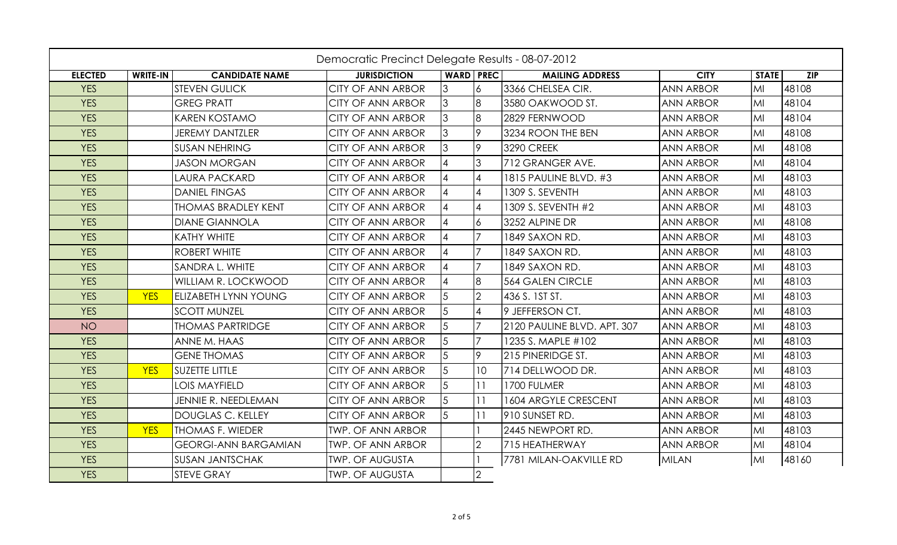| Democratic Precinct Delegate Results - 08-07-2012 |            |                             |                          |                        |                |                             |                  |              |       |
|---------------------------------------------------|------------|-----------------------------|--------------------------|------------------------|----------------|-----------------------------|------------------|--------------|-------|
| <b>ELECTED</b>                                    | WRITE-IN   | <b>CANDIDATE NAME</b>       | <b>JURISDICTION</b>      | <b>WARD PREC</b>       |                | <b>MAILING ADDRESS</b>      | <b>CITY</b>      | <b>STATE</b> | ZIP   |
| <b>YES</b>                                        |            | <b>STEVEN GULICK</b>        | <b>CITY OF ANN ARBOR</b> | $\overline{3}$         |                | 3366 CHELSEA CIR.           | <b>ANN ARBOR</b> | MI           | 48108 |
| <b>YES</b>                                        |            | <b>GREG PRATT</b>           | <b>CITY OF ANN ARBOR</b> | $\overline{3}$         | l8             | 3580 OAKWOOD ST.            | <b>ANN ARBOR</b> | MI           | 48104 |
| <b>YES</b>                                        |            | <b>KAREN KOSTAMO</b>        | <b>CITY OF ANN ARBOR</b> | $\overline{3}$         | 8              | 2829 FERNWOOD               | <b>ANN ARBOR</b> | MI           | 48104 |
| <b>YES</b>                                        |            | <b>JEREMY DANTZLER</b>      | <b>CITY OF ANN ARBOR</b> | $\overline{3}$         | 19.            | 3234 ROON THE BEN           | <b>ANN ARBOR</b> | MI           | 48108 |
| <b>YES</b>                                        |            | <b>SUSAN NEHRING</b>        | <b>CITY OF ANN ARBOR</b> | $\overline{3}$         | 19.            | <b>3290 CREEK</b>           | <b>ANN ARBOR</b> | MI           | 48108 |
| <b>YES</b>                                        |            | <b>JASON MORGAN</b>         | <b>CITY OF ANN ARBOR</b> | $\boldsymbol{\Lambda}$ | 3              | 712 GRANGER AVE.            | <b>ANN ARBOR</b> | MI           | 48104 |
| <b>YES</b>                                        |            | LAURA PACKARD               | <b>CITY OF ANN ARBOR</b> | 4                      |                | 1815 PAULINE BLVD. #3       | <b>ANN ARBOR</b> | MI           | 48103 |
| <b>YES</b>                                        |            | <b>DANIEL FINGAS</b>        | <b>CITY OF ANN ARBOR</b> |                        | $\overline{4}$ | 1309 S. SEVENTH             | <b>ANN ARBOR</b> | MI           | 48103 |
| <b>YES</b>                                        |            | <b>THOMAS BRADLEY KENT</b>  | <b>CITY OF ANN ARBOR</b> | Δ                      |                | 1309 S. SEVENTH #2          | <b>ANN ARBOR</b> | MI           | 48103 |
| <b>YES</b>                                        |            | <b>DIANE GIANNOLA</b>       | <b>CITY OF ANN ARBOR</b> |                        | $\overline{6}$ | 3252 ALPINE DR              | <b>ANN ARBOR</b> | MI           | 48108 |
| <b>YES</b>                                        |            | <b>KATHY WHITE</b>          | <b>CITY OF ANN ARBOR</b> | $\boldsymbol{\Lambda}$ | 17             | 1849 SAXON RD.              | <b>ANN ARBOR</b> | MI           | 48103 |
| <b>YES</b>                                        |            | <b>ROBERT WHITE</b>         | <b>CITY OF ANN ARBOR</b> |                        | 17             | 1849 SAXON RD.              | <b>ANN ARBOR</b> | MI           | 48103 |
| <b>YES</b>                                        |            | <b>SANDRA L. WHITE</b>      | <b>CITY OF ANN ARBOR</b> | $\boldsymbol{\Lambda}$ | 17             | 1849 SAXON RD.              | <b>ANN ARBOR</b> | MI           | 48103 |
| <b>YES</b>                                        |            | <b>WILLIAM R. LOCKWOOD</b>  | <b>CITY OF ANN ARBOR</b> |                        | 8              | <b>564 GALEN CIRCLE</b>     | <b>ANN ARBOR</b> | MI           | 48103 |
| <b>YES</b>                                        | <b>YES</b> | <b>ELIZABETH LYNN YOUNG</b> | <b>CITY OF ANN ARBOR</b> | 5                      | I2.            | 436 S. IST ST.              | <b>ANN ARBOR</b> | MI           | 48103 |
| <b>YES</b>                                        |            | <b>SCOTT MUNZEL</b>         | <b>CITY OF ANN ARBOR</b> | 5                      |                | 9 JEFFERSON CT.             | <b>ANN ARBOR</b> | MI           | 48103 |
| <b>NO</b>                                         |            | <b>THOMAS PARTRIDGE</b>     | <b>CITY OF ANN ARBOR</b> | $\overline{5}$         | 17.            | 2120 PAULINE BLVD. APT. 307 | <b>ANN ARBOR</b> | MI           | 48103 |
| <b>YES</b>                                        |            | ANNE M. HAAS                | <b>CITY OF ANN ARBOR</b> | 5                      |                | 1235 S. MAPLE #102          | <b>ANN ARBOR</b> | MI           | 48103 |
| <b>YES</b>                                        |            | <b>GENE THOMAS</b>          | <b>CITY OF ANN ARBOR</b> | $\overline{5}$         | 19.            | 215 PINERIDGE ST.           | <b>ANN ARBOR</b> | MI           | 48103 |
| <b>YES</b>                                        | <b>YES</b> | <b>SUZETTE LITTLE</b>       | <b>CITY OF ANN ARBOR</b> | 5                      | 10             | 714 DELLWOOD DR.            | <b>ANN ARBOR</b> | MI           | 48103 |
| <b>YES</b>                                        |            | <b>LOIS MAYFIELD</b>        | <b>CITY OF ANN ARBOR</b> | $\overline{5}$         | 111            | 1700 FULMER                 | <b>ANN ARBOR</b> | MI           | 48103 |
| <b>YES</b>                                        |            | JENNIE R. NEEDLEMAN         | <b>CITY OF ANN ARBOR</b> | 5                      | 11             | 1604 ARGYLE CRESCENT        | <b>ANN ARBOR</b> | MI           | 48103 |
| <b>YES</b>                                        |            | <b>DOUGLAS C. KELLEY</b>    | <b>CITY OF ANN ARBOR</b> | $\overline{5}$         | 111            | 910 SUNSET RD.              | <b>ANN ARBOR</b> | MI           | 48103 |
| <b>YES</b>                                        | <b>YES</b> | <b>THOMAS F. WIEDER</b>     | <b>TWP. OF ANN ARBOR</b> |                        |                | 2445 NEWPORT RD.            | <b>ANN ARBOR</b> | MI           | 48103 |
| <b>YES</b>                                        |            | <b>GEORGI-ANN BARGAMIAN</b> | <b>TWP. OF ANN ARBOR</b> |                        | <u> 2</u>      | 715 HEATHERWAY              | <b>ANN ARBOR</b> | MI           | 48104 |
| <b>YES</b>                                        |            | <b>SUSAN JANTSCHAK</b>      | <b>TWP. OF AUGUSTA</b>   |                        |                | 7781 MILAN-OAKVILLE RD      | <b>MILAN</b>     | MI           | 48160 |
| <b>YES</b>                                        |            | <b>STEVE GRAY</b>           | <b>TWP. OF AUGUSTA</b>   |                        | $ 2\rangle$    |                             |                  |              |       |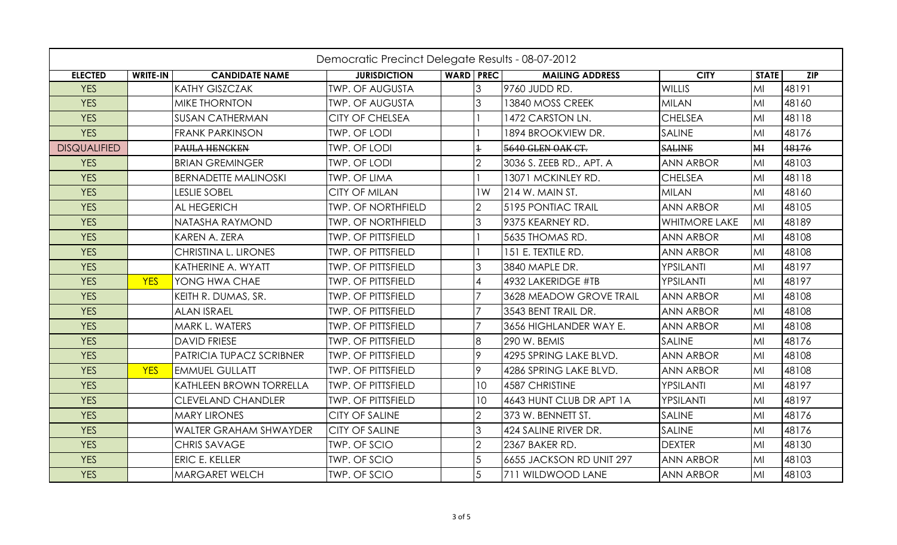|                     | Democratic Precinct Delegate Results - 08-07-2012 |                                 |                           |                  |                          |                          |                      |                |            |  |
|---------------------|---------------------------------------------------|---------------------------------|---------------------------|------------------|--------------------------|--------------------------|----------------------|----------------|------------|--|
| <b>ELECTED</b>      | WRITE-IN                                          | <b>CANDIDATE NAME</b>           | <b>JURISDICTION</b>       | <b>WARD PREC</b> |                          | <b>MAILING ADDRESS</b>   | <b>CITY</b>          | <b>STATE</b>   | <b>ZIP</b> |  |
| <b>YES</b>          |                                                   | <b>KATHY GISZCZAK</b>           | <b>TWP. OF AUGUSTA</b>    |                  | 3                        | 9760 JUDD RD.            | <b>WILLIS</b>        | MI             | 48191      |  |
| <b>YES</b>          |                                                   | <b>MIKE THORNTON</b>            | <b>TWP. OF AUGUSTA</b>    |                  | 3                        | 13840 MOSS CREEK         | <b>MILAN</b>         | MI             | 48160      |  |
| <b>YES</b>          |                                                   | <b>SUSAN CATHERMAN</b>          | <b>CITY OF CHELSEA</b>    |                  |                          | 1472 CARSTON LN.         | <b>CHELSEA</b>       | MI             | 48118      |  |
| <b>YES</b>          |                                                   | <b>FRANK PARKINSON</b>          | <b>TWP. OF LODI</b>       |                  |                          | 1894 BROOKVIEW DR.       | SALINE               | MI             | 48176      |  |
| <b>DISQUALIFIED</b> |                                                   | <b>PAULA HENCKEN</b>            | <b>TWP. OF LODI</b>       |                  | $\ddagger$               | 5640 GLEN OAK CT.        | <b>SALINE</b>        | H <sub>H</sub> | 48176      |  |
| <b>YES</b>          |                                                   | <b>BRIAN GREMINGER</b>          | <b>TWP. OF LODI</b>       |                  | $\overline{2}$           | 3036 S. ZEEB RD., APT. A | <b>ANN ARBOR</b>     | MI             | 48103      |  |
| <b>YES</b>          |                                                   | <b>BERNADETTE MALINOSKI</b>     | <b>TWP. OF LIMA</b>       |                  |                          | 13071 MCKINLEY RD.       | <b>CHELSEA</b>       | MI             | 48118      |  |
| <b>YES</b>          |                                                   | <b>LESLIE SOBEL</b>             | <b>CITY OF MILAN</b>      |                  | 1W                       | 214 W. MAIN ST.          | <b>MILAN</b>         | MI             | 48160      |  |
| <b>YES</b>          |                                                   | <b>AL HEGERICH</b>              | <b>TWP. OF NORTHFIELD</b> |                  | $\overline{2}$           | 5195 PONTIAC TRAIL       | <b>ANN ARBOR</b>     | MI             | 48105      |  |
| <b>YES</b>          |                                                   | <b>NATASHA RAYMOND</b>          | <b>TWP. OF NORTHFIELD</b> |                  | 3                        | 9375 KEARNEY RD.         | <b>WHITMORE LAKE</b> | MI             | 48189      |  |
| <b>YES</b>          |                                                   | <b>KAREN A. ZERA</b>            | <b>TWP. OF PITTSFIELD</b> |                  |                          | 5635 THOMAS RD.          | <b>ANN ARBOR</b>     | MI             | 48108      |  |
| <b>YES</b>          |                                                   | CHRISTINA L. LIRONES            | <b>TWP. OF PITTSFIELD</b> |                  |                          | 151 E. TEXTILE RD.       | <b>ANN ARBOR</b>     | MI             | 48108      |  |
| <b>YES</b>          |                                                   | KATHERINE A. WYATT              | <b>TWP. OF PITTSFIELD</b> |                  | 3                        | 3840 MAPLE DR.           | YPSILANTI            | MI             | 48197      |  |
| <b>YES</b>          | <b>YES</b>                                        | YONG HWA CHAE                   | <b>TWP. OF PITTSFIELD</b> |                  | $\overline{\mathcal{A}}$ | 4932 LAKERIDGE #TB       | YPSILANTI            | MI             | 48197      |  |
| <b>YES</b>          |                                                   | KEITH R. DUMAS, SR.             | <b>TWP. OF PITTSFIELD</b> |                  | $\overline{7}$           | 3628 MEADOW GROVE TRAIL  | <b>ANN ARBOR</b>     | MI             | 48108      |  |
| <b>YES</b>          |                                                   | <b>ALAN ISRAEL</b>              | <b>TWP. OF PITTSFIELD</b> |                  | $\overline{7}$           | 3543 BENT TRAIL DR.      | <b>ANN ARBOR</b>     | MI             | 48108      |  |
| <b>YES</b>          |                                                   | <b>MARK L. WATERS</b>           | <b>TWP. OF PITTSFIELD</b> |                  | $\overline{7}$           | 3656 HIGHLANDER WAY E.   | <b>ANN ARBOR</b>     | MI             | 48108      |  |
| <b>YES</b>          |                                                   | <b>DAVID FRIESE</b>             | <b>TWP. OF PITTSFIELD</b> |                  | 8                        | 290 W. BEMIS             | <b>SALINE</b>        | MI             | 48176      |  |
| <b>YES</b>          |                                                   | <b>PATRICIA TUPACZ SCRIBNER</b> | <b>TWP. OF PITTSFIELD</b> |                  | 9                        | 4295 SPRING LAKE BLVD.   | <b>ANN ARBOR</b>     | MI             | 48108      |  |
| <b>YES</b>          | <b>YES</b>                                        | <b>EMMUEL GULLATT</b>           | <b>TWP. OF PITTSFIELD</b> |                  | 19.                      | 4286 SPRING LAKE BLVD.   | <b>ANN ARBOR</b>     | MI             | 48108      |  |
| <b>YES</b>          |                                                   | <b>KATHLEEN BROWN TORRELLA</b>  | <b>TWP. OF PITTSFIELD</b> |                  | 10                       | 4587 CHRISTINE           | YPSILANTI            | MI             | 48197      |  |
| <b>YES</b>          |                                                   | <b>CLEVELAND CHANDLER</b>       | <b>TWP. OF PITTSFIELD</b> |                  | 10 <sup>°</sup>          | 4643 HUNT CLUB DR APT 1A | YPSILANTI            | MI             | 48197      |  |
| <b>YES</b>          |                                                   | <b>MARY LIRONES</b>             | <b>CITY OF SALINE</b>     |                  | $\overline{2}$           | 373 W. BENNETT ST.       | SALINE               | MI             | 48176      |  |
| <b>YES</b>          |                                                   | <b>WALTER GRAHAM SHWAYDER</b>   | <b>CITY OF SALINE</b>     |                  | 3                        | 424 SALINE RIVER DR.     | SALINE               | MI             | 48176      |  |
| <b>YES</b>          |                                                   | CHRIS SAVAGE                    | TWP. OF SCIO              |                  | $\overline{2}$           | 2367 BAKER RD.           | <b>DEXTER</b>        | MI             | 48130      |  |
| <b>YES</b>          |                                                   | ERIC E. KELLER                  | TWP. OF SCIO              |                  | 5                        | 6655 JACKSON RD UNIT 297 | <b>ANN ARBOR</b>     | MI             | 48103      |  |
| <b>YES</b>          |                                                   | <b>MARGARET WELCH</b>           | <b>TWP. OF SCIO</b>       |                  | 5                        | 711 WILDWOOD LANE        | <b>ANN ARBOR</b>     | MI             | 48103      |  |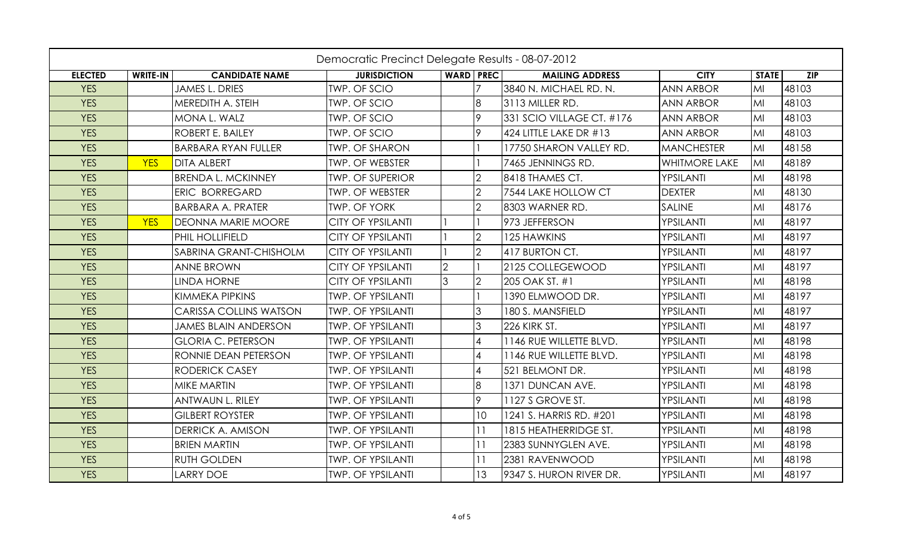| Democratic Precinct Delegate Results - 08-07-2012 |                 |                               |                          |                  |                |                           |                      |              |                  |
|---------------------------------------------------|-----------------|-------------------------------|--------------------------|------------------|----------------|---------------------------|----------------------|--------------|------------------|
| <b>ELECTED</b>                                    | <b>WRITE-IN</b> | <b>CANDIDATE NAME</b>         | <b>JURISDICTION</b>      | <b>WARD PREC</b> |                | <b>MAILING ADDRESS</b>    | <b>CITY</b>          | <b>STATE</b> | $\overline{ZIP}$ |
| <b>YES</b>                                        |                 | <b>JAMES L. DRIES</b>         | <b>TWP. OF SCIO</b>      |                  |                | 3840 N. MICHAEL RD. N.    | <b>ANN ARBOR</b>     | MI           | 48103            |
| <b>YES</b>                                        |                 | MEREDITH A. STEIH             | <b>TWP. OF SCIO</b>      |                  | 8              | 3113 MILLER RD.           | <b>ANN ARBOR</b>     | MI           | 48103            |
| <b>YES</b>                                        |                 | MONA L. WALZ                  | TWP. OF SCIO             |                  | 9              | 331 SCIO VILLAGE CT. #176 | <b>ANN ARBOR</b>     | MI           | 48103            |
| <b>YES</b>                                        |                 | ROBERT E. BAILEY              | <b>TWP. OF SCIO</b>      |                  | 9              | 424 LITTLE LAKE DR #13    | <b>ANN ARBOR</b>     | MI           | 48103            |
| <b>YES</b>                                        |                 | <b>BARBARA RYAN FULLER</b>    | <b>TWP. OF SHARON</b>    |                  |                | 17750 SHARON VALLEY RD.   | <b>MANCHESTER</b>    | MI           | 48158            |
| <b>YES</b>                                        | <b>YES</b>      | <b>DITA ALBERT</b>            | <b>TWP. OF WEBSTER</b>   |                  |                | 7465 JENNINGS RD.         | <b>WHITMORE LAKE</b> | MI           | 48189            |
| <b>YES</b>                                        |                 | <b>BRENDA L. MCKINNEY</b>     | <b>TWP. OF SUPERIOR</b>  |                  | $\overline{2}$ | 8418 THAMES CT.           | YPSILANTI            | MI           | 48198            |
| <b>YES</b>                                        |                 | ERIC BORREGARD                | <b>TWP. OF WEBSTER</b>   |                  | $\overline{2}$ | 7544 LAKE HOLLOW CT       | <b>DEXTER</b>        | MI           | 48130            |
| <b>YES</b>                                        |                 | <b>BARBARA A. PRATER</b>      | <b>TWP. OF YORK</b>      |                  | $\overline{2}$ | 8303 WARNER RD.           | <b>SALINE</b>        | MI           | 48176            |
| <b>YES</b>                                        | <b>YES</b>      | <b>DEONNA MARIE MOORE</b>     | <b>CITY OF YPSILANTI</b> |                  |                | 973 JEFFERSON             | YPSILANTI            | MI           | 48197            |
| <b>YES</b>                                        |                 | PHIL HOLLIFIELD               | <b>CITY OF YPSILANTI</b> |                  | $\overline{2}$ | 125 HAWKINS               | YPSILANTI            | MI           | 48197            |
| <b>YES</b>                                        |                 | SABRINA GRANT-CHISHOLM        | <b>CITY OF YPSILANTI</b> |                  | $\overline{2}$ | 417 BURTON CT.            | YPSILANTI            | MI           | 48197            |
| <b>YES</b>                                        |                 | <b>ANNE BROWN</b>             | <b>CITY OF YPSILANTI</b> | $\mathfrak{D}$   |                | 2125 COLLEGEWOOD          | YPSILANTI            | MI           | 48197            |
| <b>YES</b>                                        |                 | <b>LINDA HORNE</b>            | <b>CITY OF YPSILANTI</b> | 3                | $\overline{2}$ | 205 OAK ST. #1            | YPSILANTI            | MI           | 48198            |
| <b>YES</b>                                        |                 | KIMMEKA PIPKINS               | <b>TWP. OF YPSILANTI</b> |                  |                | 390 ELMWOOD DR.           | YPSILANTI            | MI           | 48197            |
| <b>YES</b>                                        |                 | <b>CARISSA COLLINS WATSON</b> | <b>TWP. OF YPSILANTI</b> |                  | $\overline{3}$ | 180 S. MANSFIELD          | YPSILANTI            | MI           | 48197            |
| <b>YES</b>                                        |                 | <b>JAMES BLAIN ANDERSON</b>   | <b>TWP. OF YPSILANTI</b> |                  | $\overline{3}$ | 226 KIRK ST.              | YPSILANTI            | MI           | 48197            |
| <b>YES</b>                                        |                 | <b>GLORIA C. PETERSON</b>     | <b>TWP. OF YPSILANTI</b> |                  | $\overline{4}$ | 1146 RUE WILLETTE BLVD.   | YPSILANTI            | MI           | 48198            |
| <b>YES</b>                                        |                 | RONNIE DEAN PETERSON          | <b>TWP. OF YPSILANTI</b> |                  | $\overline{4}$ | 1146 RUE WILLETTE BLVD.   | YPSILANTI            | MI           | 48198            |
| <b>YES</b>                                        |                 | <b>RODERICK CASEY</b>         | <b>TWP. OF YPSILANTI</b> |                  | $\overline{4}$ | 521 BELMONT DR.           | YPSILANTI            | MI           | 48198            |
| <b>YES</b>                                        |                 | MIKE MARTIN                   | <b>TWP. OF YPSILANTI</b> |                  | 8              | 1371 DUNCAN AVE.          | YPSILANTI            | MI           | 48198            |
| <b>YES</b>                                        |                 | <b>ANTWAUN L. RILEY</b>       | <b>TWP. OF YPSILANTI</b> |                  | 9              | 1127 S GROVE ST.          | YPSILANTI            | MI           | 48198            |
| <b>YES</b>                                        |                 | <b>GILBERT ROYSTER</b>        | <b>TWP. OF YPSILANTI</b> |                  | 10             | 1241 S. HARRIS RD. #201   | YPSILANTI            | MI           | 48198            |
| <b>YES</b>                                        |                 | <b>DERRICK A. AMISON</b>      | <b>TWP. OF YPSILANTI</b> |                  | 11             | 1815 HEATHERRIDGE ST.     | YPSILANTI            | MI           | 48198            |
| <b>YES</b>                                        |                 | <b>BRIEN MARTIN</b>           | <b>TWP. OF YPSILANTI</b> |                  | 11             | 2383 SUNNYGLEN AVE.       | YPSILANTI            | MI           | 48198            |
| <b>YES</b>                                        |                 | <b>RUTH GOLDEN</b>            | <b>TWP. OF YPSILANTI</b> |                  | 11             | 2381 RAVENWOOD            | YPSILANTI            | MI           | 48198            |
| <b>YES</b>                                        |                 | <b>LARRY DOE</b>              | <b>TWP. OF YPSILANTI</b> |                  | 13             | 9347 S. HURON RIVER DR.   | YPSILANTI            | MI           | 48197            |